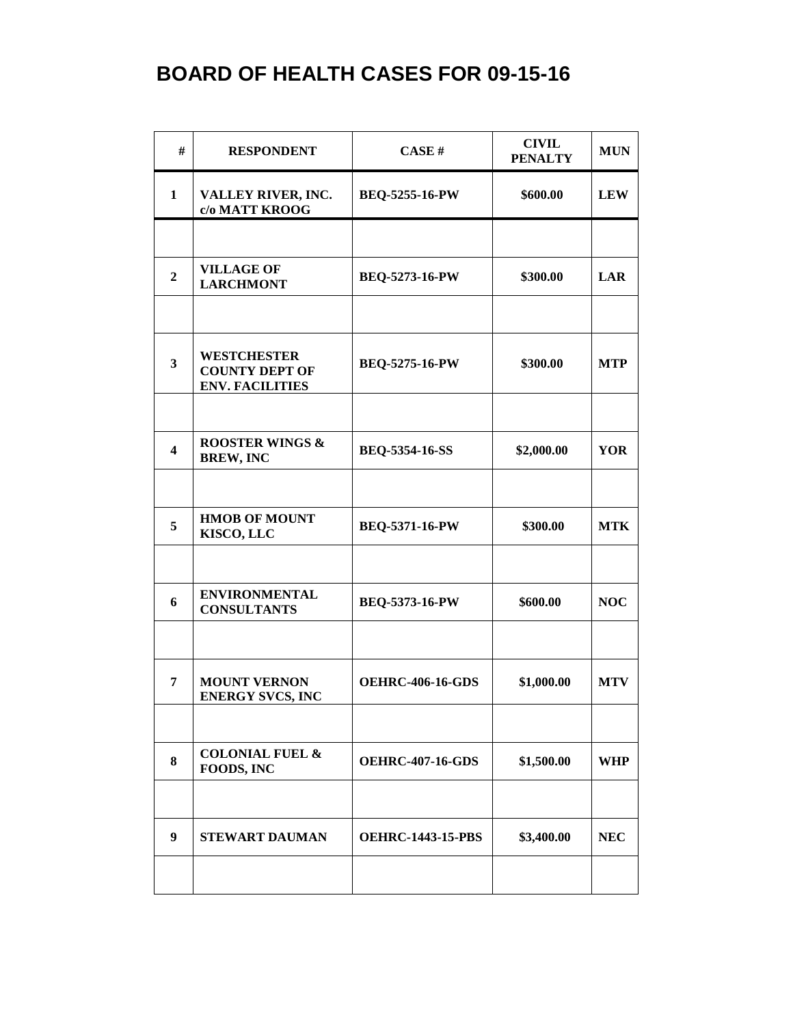| #                       | <b>RESPONDENT</b>                                                     | CASE#                    | <b>CIVIL</b><br><b>PENALTY</b> | <b>MUN</b> |
|-------------------------|-----------------------------------------------------------------------|--------------------------|--------------------------------|------------|
| $\mathbf{1}$            | VALLEY RIVER, INC.<br>c/o MATT KROOG                                  | <b>BEQ-5255-16-PW</b>    | \$600.00                       | <b>LEW</b> |
|                         |                                                                       |                          |                                |            |
| $\overline{2}$          | <b>VILLAGE OF</b><br><b>LARCHMONT</b>                                 | <b>BEQ-5273-16-PW</b>    | \$300.00                       | <b>LAR</b> |
|                         |                                                                       |                          |                                |            |
| $\overline{\mathbf{3}}$ | <b>WESTCHESTER</b><br><b>COUNTY DEPT OF</b><br><b>ENV. FACILITIES</b> | <b>BEQ-5275-16-PW</b>    | \$300.00                       | <b>MTP</b> |
|                         |                                                                       |                          |                                |            |
| $\overline{\mathbf{4}}$ | <b>ROOSTER WINGS &amp;</b><br><b>BREW, INC</b>                        | <b>BEQ-5354-16-SS</b>    | \$2,000.00                     | <b>YOR</b> |
|                         |                                                                       |                          |                                |            |
| 5                       | <b>HMOB OF MOUNT</b><br>KISCO, LLC                                    | <b>BEQ-5371-16-PW</b>    | \$300.00                       | <b>MTK</b> |
|                         |                                                                       |                          |                                |            |
| 6                       | <b>ENVIRONMENTAL</b><br><b>CONSULTANTS</b>                            | BEQ-5373-16-PW           | \$600.00                       | <b>NOC</b> |
|                         |                                                                       |                          |                                |            |
| 7                       | <b>MOUNT VERNON</b><br><b>ENERGY SVCS, INC</b>                        | <b>OEHRC-406-16-GDS</b>  | \$1,000.00                     | <b>MTV</b> |
|                         |                                                                       |                          |                                |            |
| 8                       | <b>COLONIAL FUEL &amp;</b><br>FOODS, INC                              | <b>OEHRC-407-16-GDS</b>  | \$1,500.00                     | <b>WHP</b> |
|                         |                                                                       |                          |                                |            |
| 9                       | <b>STEWART DAUMAN</b>                                                 | <b>OEHRC-1443-15-PBS</b> | \$3,400.00                     | <b>NEC</b> |
|                         |                                                                       |                          |                                |            |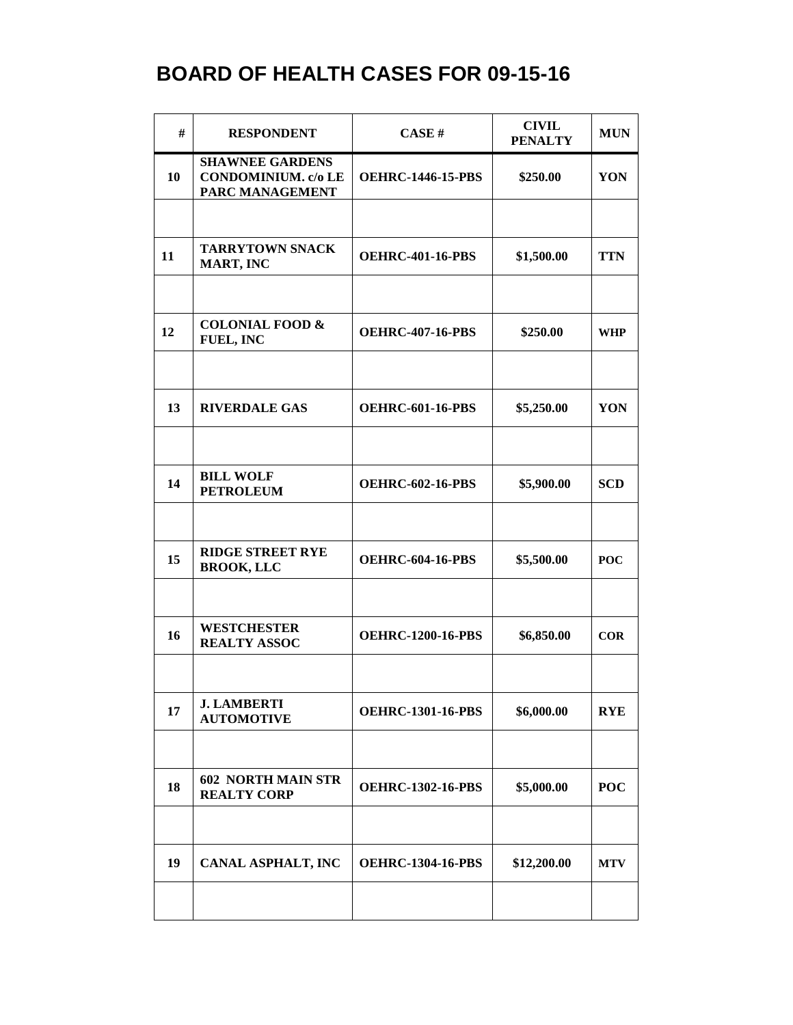| #  | <b>RESPONDENT</b>                                                       | CASE#                    | <b>CIVIL</b><br><b>PENALTY</b> | <b>MUN</b> |
|----|-------------------------------------------------------------------------|--------------------------|--------------------------------|------------|
| 10 | <b>SHAWNEE GARDENS</b><br><b>CONDOMINIUM.</b> c/o LE<br>PARC MANAGEMENT | <b>OEHRC-1446-15-PBS</b> | \$250.00                       | YON        |
|    |                                                                         |                          |                                |            |
| 11 | <b>TARRYTOWN SNACK</b><br>MART, INC                                     | <b>OEHRC-401-16-PBS</b>  | \$1,500.00                     | <b>TTN</b> |
|    |                                                                         |                          |                                |            |
| 12 | <b>COLONIAL FOOD &amp;</b><br><b>FUEL, INC</b>                          | <b>OEHRC-407-16-PBS</b>  | \$250.00                       | <b>WHP</b> |
|    |                                                                         |                          |                                |            |
| 13 | <b>RIVERDALE GAS</b>                                                    | <b>OEHRC-601-16-PBS</b>  | \$5,250.00                     | YON        |
|    |                                                                         |                          |                                |            |
| 14 | <b>BILL WOLF</b><br><b>PETROLEUM</b>                                    | <b>OEHRC-602-16-PBS</b>  | \$5,900.00                     | <b>SCD</b> |
|    |                                                                         |                          |                                |            |
| 15 | <b>RIDGE STREET RYE</b><br><b>BROOK, LLC</b>                            | <b>OEHRC-604-16-PBS</b>  | \$5,500.00                     | <b>POC</b> |
|    |                                                                         |                          |                                |            |
| 16 | <b>WESTCHESTER</b><br><b>REALTY ASSOC</b>                               | <b>OEHRC-1200-16-PBS</b> | \$6,850.00                     | COR        |
|    |                                                                         |                          |                                |            |
| 17 | <b>J. LAMBERTI</b><br><b>AUTOMOTIVE</b>                                 | <b>OEHRC-1301-16-PBS</b> | \$6,000.00                     | <b>RYE</b> |
|    |                                                                         |                          |                                |            |
| 18 | <b>602 NORTH MAIN STR</b><br><b>REALTY CORP</b>                         | <b>OEHRC-1302-16-PBS</b> | \$5,000.00                     | <b>POC</b> |
|    |                                                                         |                          |                                |            |
| 19 | <b>CANAL ASPHALT, INC</b>                                               | <b>OEHRC-1304-16-PBS</b> | \$12,200.00                    | <b>MTV</b> |
|    |                                                                         |                          |                                |            |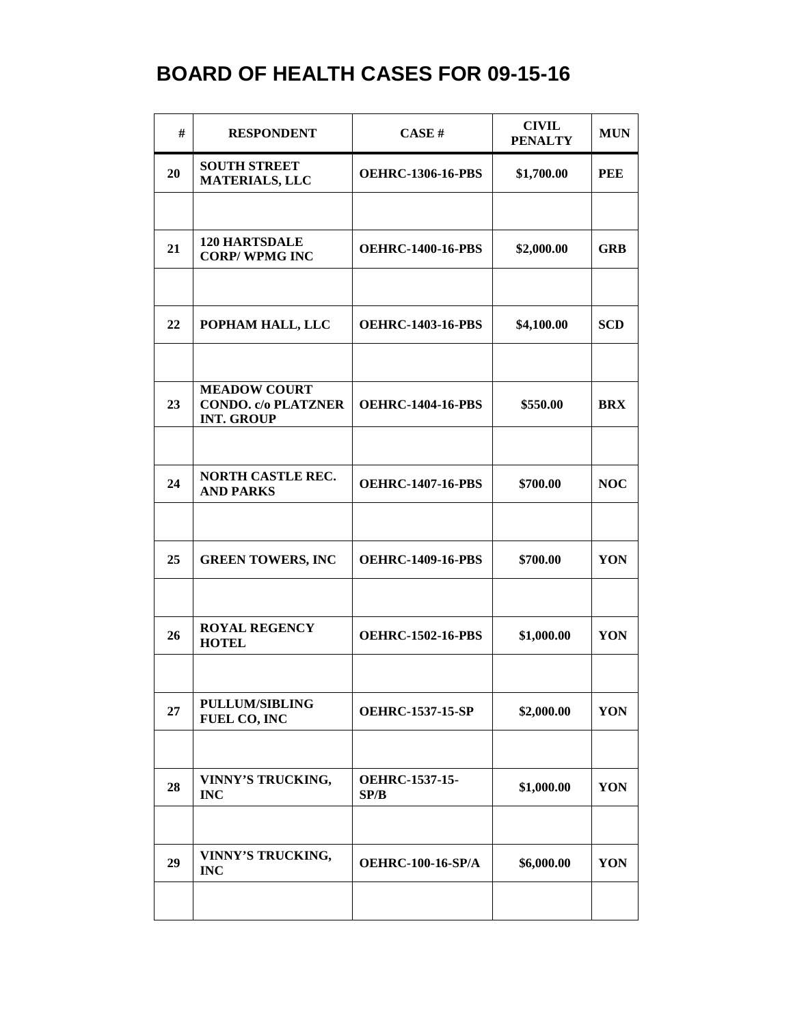| #  | <b>RESPONDENT</b>                                                      | CASE#                         | <b>CIVIL</b><br><b>PENALTY</b> | <b>MUN</b> |
|----|------------------------------------------------------------------------|-------------------------------|--------------------------------|------------|
| 20 | <b>SOUTH STREET</b><br><b>MATERIALS, LLC</b>                           | <b>OEHRC-1306-16-PBS</b>      | \$1,700.00                     | <b>PEE</b> |
|    |                                                                        |                               |                                |            |
| 21 | <b>120 HARTSDALE</b><br><b>CORP/WPMG INC</b>                           | <b>OEHRC-1400-16-PBS</b>      | \$2,000.00                     | <b>GRB</b> |
|    |                                                                        |                               |                                |            |
| 22 | POPHAM HALL, LLC                                                       | <b>OEHRC-1403-16-PBS</b>      | \$4,100.00                     | <b>SCD</b> |
|    |                                                                        |                               |                                |            |
| 23 | <b>MEADOW COURT</b><br><b>CONDO.</b> c/o PLATZNER<br><b>INT. GROUP</b> | <b>OEHRC-1404-16-PBS</b>      | \$550.00                       | <b>BRX</b> |
|    |                                                                        |                               |                                |            |
| 24 | <b>NORTH CASTLE REC.</b><br><b>AND PARKS</b>                           | <b>OEHRC-1407-16-PBS</b>      | \$700.00                       | <b>NOC</b> |
|    |                                                                        |                               |                                |            |
| 25 | <b>GREEN TOWERS, INC</b>                                               | <b>OEHRC-1409-16-PBS</b>      | \$700.00                       | YON        |
|    |                                                                        |                               |                                |            |
| 26 | <b>ROYAL REGENCY</b><br><b>HOTEL</b>                                   | <b>OEHRC-1502-16-PBS</b>      | \$1,000.00                     | YON        |
|    |                                                                        |                               |                                |            |
| 27 | PULLUM/SIBLING<br>FUEL CO, INC                                         | <b>OEHRC-1537-15-SP</b>       | \$2,000.00                     | YON        |
|    |                                                                        |                               |                                |            |
| 28 | VINNY'S TRUCKING,<br><b>INC</b>                                        | <b>OEHRC-1537-15-</b><br>SP/B | \$1,000.00                     | YON        |
|    |                                                                        |                               |                                |            |
| 29 | VINNY'S TRUCKING,<br><b>INC</b>                                        | <b>OEHRC-100-16-SP/A</b>      | \$6,000.00                     | YON        |
|    |                                                                        |                               |                                |            |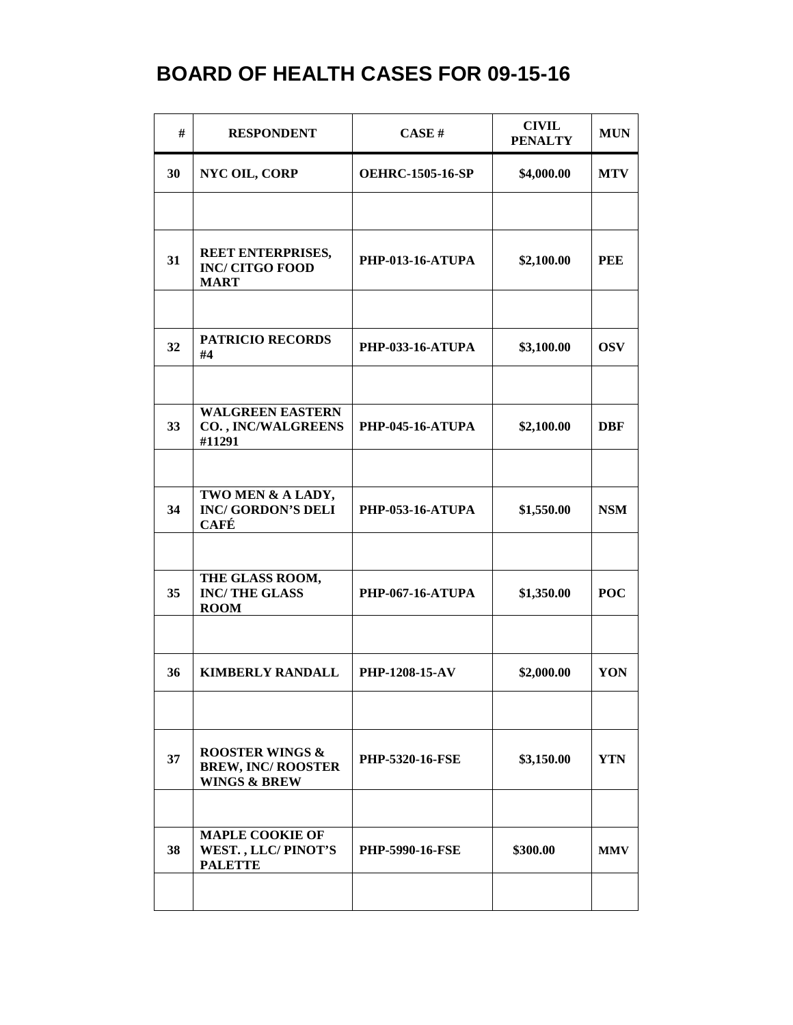| #  | <b>RESPONDENT</b>                                                                  | CASE H                  | <b>CIVIL</b><br><b>PENALTY</b> | <b>MUN</b> |
|----|------------------------------------------------------------------------------------|-------------------------|--------------------------------|------------|
| 30 | <b>NYC OIL, CORP</b>                                                               | <b>OEHRC-1505-16-SP</b> | \$4,000.00                     | <b>MTV</b> |
|    |                                                                                    |                         |                                |            |
| 31 | REET ENTERPRISES,<br><b>INC/ CITGO FOOD</b><br><b>MART</b>                         | <b>PHP-013-16-ATUPA</b> | \$2,100.00                     | <b>PEE</b> |
|    |                                                                                    |                         |                                |            |
| 32 | <b>PATRICIO RECORDS</b><br>#4                                                      | <b>PHP-033-16-ATUPA</b> | \$3,100.00                     | <b>OSV</b> |
|    |                                                                                    |                         |                                |            |
| 33 | <b>WALGREEN EASTERN</b><br><b>CO., INC/WALGREENS</b><br>#11291                     | <b>PHP-045-16-ATUPA</b> | \$2,100.00                     | <b>DBF</b> |
|    |                                                                                    |                         |                                |            |
| 34 | TWO MEN & A LADY,<br><b>INC/GORDON'S DELI</b><br><b>CAFÉ</b>                       | <b>PHP-053-16-ATUPA</b> | \$1,550.00                     | <b>NSM</b> |
|    |                                                                                    |                         |                                |            |
| 35 | THE GLASS ROOM,<br><b>INC/THE GLASS</b><br><b>ROOM</b>                             | <b>PHP-067-16-ATUPA</b> | \$1,350.00                     | <b>POC</b> |
|    |                                                                                    |                         |                                |            |
| 36 | <b>KIMBERLY RANDALL</b>                                                            | PHP-1208-15-AV          | \$2,000.00                     | YON        |
|    |                                                                                    |                         |                                |            |
| 37 | <b>ROOSTER WINGS &amp;</b><br><b>BREW, INC/ ROOSTER</b><br><b>WINGS &amp; BREW</b> | <b>PHP-5320-16-FSE</b>  | \$3,150.00                     | <b>YTN</b> |
|    |                                                                                    |                         |                                |            |
| 38 | <b>MAPLE COOKIE OF</b><br>WEST., LLC/PINOT'S<br><b>PALETTE</b>                     | <b>PHP-5990-16-FSE</b>  | \$300.00                       | <b>MMV</b> |
|    |                                                                                    |                         |                                |            |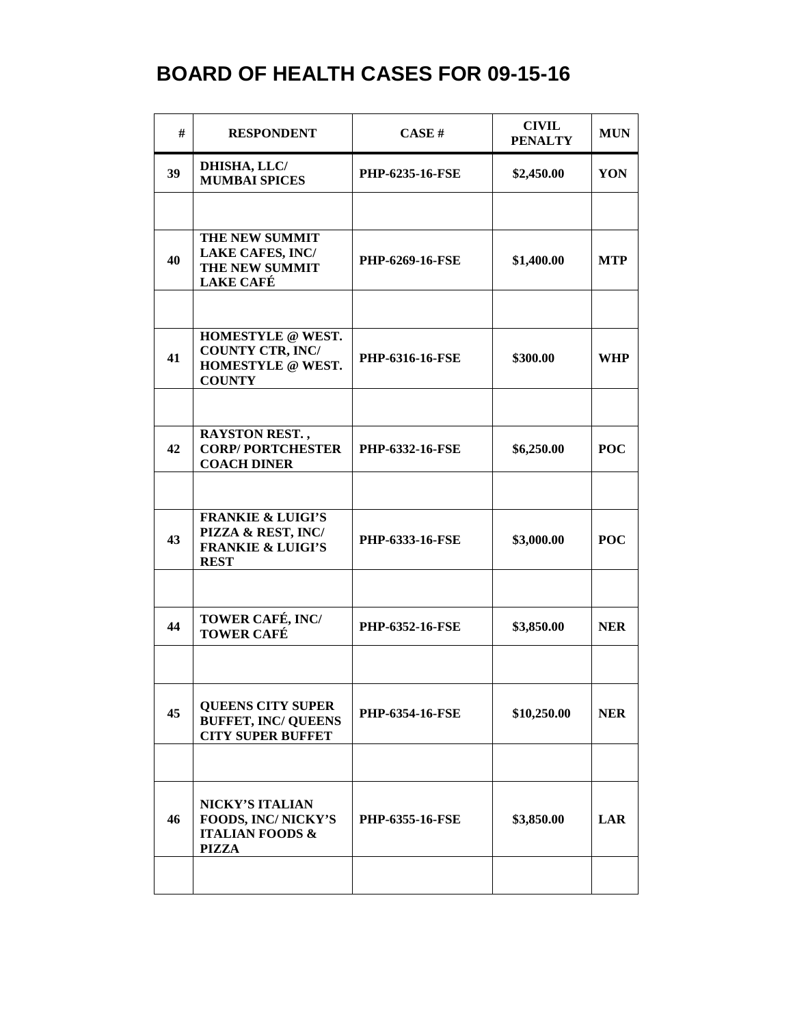| #  | <b>RESPONDENT</b>                                                                                 | CASE#                  | <b>CIVIL</b><br><b>PENALTY</b> | <b>MUN</b> |
|----|---------------------------------------------------------------------------------------------------|------------------------|--------------------------------|------------|
| 39 | DHISHA, LLC/<br><b>MUMBAI SPICES</b>                                                              | <b>PHP-6235-16-FSE</b> | \$2,450.00                     | YON        |
|    |                                                                                                   |                        |                                |            |
| 40 | THE NEW SUMMIT<br><b>LAKE CAFES, INC/</b><br>THE NEW SUMMIT<br><b>LAKE CAFÉ</b>                   | <b>PHP-6269-16-FSE</b> | \$1,400.00                     | <b>MTP</b> |
|    |                                                                                                   |                        |                                |            |
| 41 | HOMESTYLE @ WEST.<br><b>COUNTY CTR, INC/</b><br>HOMESTYLE @ WEST.<br><b>COUNTY</b>                | PHP-6316-16-FSE        | \$300.00                       | <b>WHP</b> |
|    |                                                                                                   |                        |                                |            |
| 42 | RAYSTON REST.,<br><b>CORP/PORTCHESTER</b><br><b>COACH DINER</b>                                   | <b>PHP-6332-16-FSE</b> | \$6,250.00                     | <b>POC</b> |
|    |                                                                                                   |                        |                                |            |
| 43 | <b>FRANKIE &amp; LUIGI'S</b><br>PIZZA & REST, INC/<br><b>FRANKIE &amp; LUIGI'S</b><br><b>REST</b> | <b>PHP-6333-16-FSE</b> | \$3,000.00                     | <b>POC</b> |
|    |                                                                                                   |                        |                                |            |
| 44 | TOWER CAFÉ, INC/<br><b>TOWER CAFÉ</b>                                                             | PHP-6352-16-FSE        | \$3,850.00                     | <b>NER</b> |
|    |                                                                                                   |                        |                                |            |
| 45 | <b>QUEENS CITY SUPER</b><br><b>BUFFET, INC/ QUEENS</b><br><b>CITY SUPER BUFFET</b>                | PHP-6354-16-FSE        | \$10,250.00                    | <b>NER</b> |
|    |                                                                                                   |                        |                                |            |
| 46 | <b>NICKY'S ITALIAN</b><br>FOODS, INC/NICKY'S<br><b>ITALIAN FOODS &amp;</b><br><b>PIZZA</b>        | <b>PHP-6355-16-FSE</b> | \$3,850.00                     | <b>LAR</b> |
|    |                                                                                                   |                        |                                |            |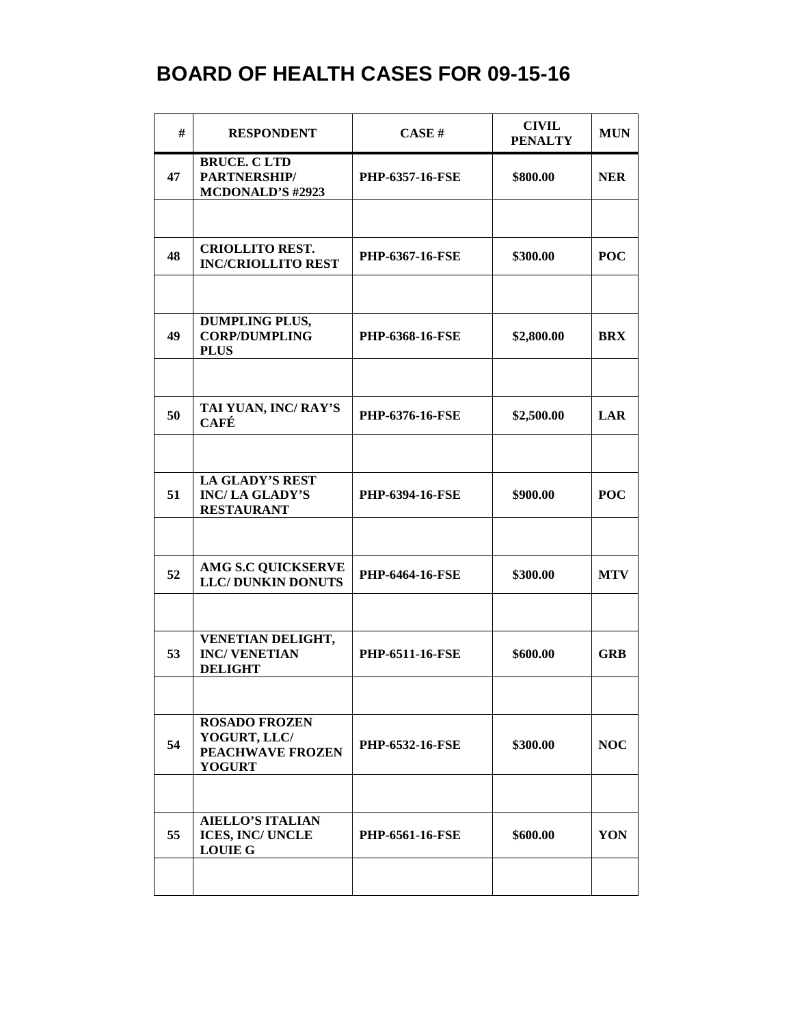| #  | <b>RESPONDENT</b>                                                                | CASE H                 | <b>CIVIL</b><br><b>PENALTY</b> | <b>MUN</b> |
|----|----------------------------------------------------------------------------------|------------------------|--------------------------------|------------|
| 47 | <b>BRUCE. CLTD</b><br>PARTNERSHIP/<br><b>MCDONALD'S #2923</b>                    | PHP-6357-16-FSE        | \$800.00                       | <b>NER</b> |
|    |                                                                                  |                        |                                |            |
| 48 | <b>CRIOLLITO REST.</b><br><b>INC/CRIOLLITO REST</b>                              | <b>PHP-6367-16-FSE</b> | \$300.00                       | <b>POC</b> |
|    |                                                                                  |                        |                                |            |
| 49 | <b>DUMPLING PLUS,</b><br><b>CORP/DUMPLING</b><br><b>PLUS</b>                     | PHP-6368-16-FSE        | \$2,800.00                     | <b>BRX</b> |
|    |                                                                                  |                        |                                |            |
| 50 | TAI YUAN, INC/RAY'S<br><b>CAFÉ</b>                                               | PHP-6376-16-FSE        | \$2,500.00                     | <b>LAR</b> |
|    |                                                                                  |                        |                                |            |
| 51 | LA GLADY'S REST<br><b>INC/LA GLADY'S</b><br><b>RESTAURANT</b>                    | PHP-6394-16-FSE        | \$900.00                       | <b>POC</b> |
|    |                                                                                  |                        |                                |            |
| 52 | <b>AMG S.C QUICKSERVE</b><br><b>LLC/DUNKIN DONUTS</b>                            | <b>PHP-6464-16-FSE</b> | \$300.00                       | <b>MTV</b> |
|    |                                                                                  |                        |                                |            |
| 53 | VENETIAN DELIGHT,<br><b>INC/VENETIAN</b><br><b>DELIGHT</b>                       | <b>PHP-6511-16-FSE</b> | \$600.00                       | <b>GRB</b> |
|    |                                                                                  |                        |                                |            |
| 54 | <b>ROSADO FROZEN</b><br>YOGURT, LLC/<br><b>PEACHWAVE FROZEN</b><br><b>YOGURT</b> | <b>PHP-6532-16-FSE</b> | \$300.00                       | <b>NOC</b> |
|    |                                                                                  |                        |                                |            |
| 55 | <b>AIELLO'S ITALIAN</b><br>ICES, INC/ UNCLE<br><b>LOUIE G</b>                    | <b>PHP-6561-16-FSE</b> | \$600.00                       | YON        |
|    |                                                                                  |                        |                                |            |